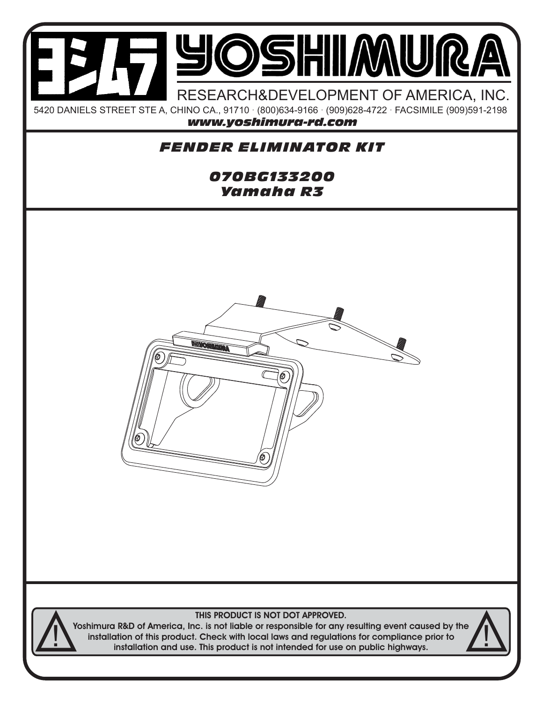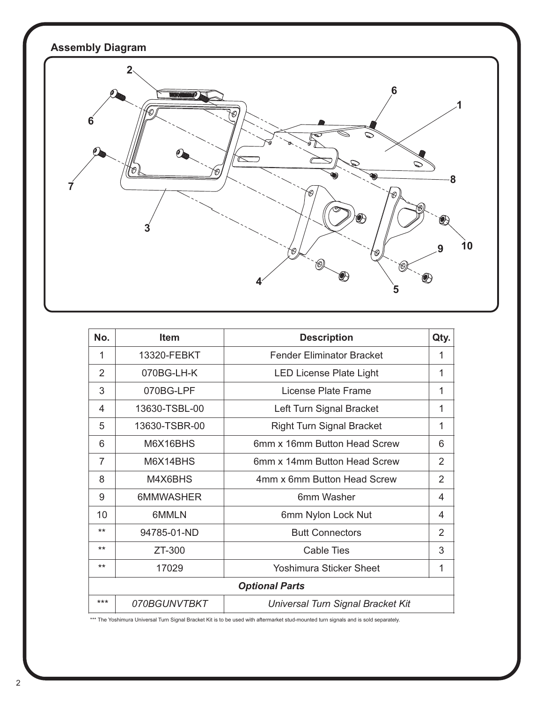

| No.                   | <b>Item</b>   | <b>Description</b>                | Qty.           |
|-----------------------|---------------|-----------------------------------|----------------|
| 1                     | 13320-FEBKT   | <b>Fender Eliminator Bracket</b>  | 1              |
| $\overline{2}$        | 070BG-LH-K    | <b>LED License Plate Light</b>    | 1              |
| 3                     | 070BG-LPF     | License Plate Frame               | 1              |
| 4                     | 13630-TSBL-00 | Left Turn Signal Bracket          | 1              |
| 5                     | 13630-TSBR-00 | <b>Right Turn Signal Bracket</b>  | 1              |
| 6                     | M6X16BHS      | 6mm x 16mm Button Head Screw      | 6              |
| 7                     | M6X14BHS      | 6mm x 14mm Button Head Screw      | 2              |
| 8                     | M4X6BHS       | 4mm x 6mm Button Head Screw       | $\overline{2}$ |
| 9                     | 6MMWASHER     | 6mm Washer                        | 4              |
| 10                    | 6MMLN         | 6mm Nylon Lock Nut                | 4              |
| $***$                 | 94785-01-ND   | <b>Butt Connectors</b>            | 2              |
| $***$                 | ZT-300        | <b>Cable Ties</b>                 | 3              |
| $***$                 | 17029         | Yoshimura Sticker Sheet           | 1              |
| <b>Optional Parts</b> |               |                                   |                |
| $***$                 | 070BGUNVTBKT  | Universal Turn Signal Bracket Kit |                |

\*\*\* The Yoshimura Universal Turn Signal Bracket Kit is to be used with aftermarket stud-mounted turn signals and is sold separately.